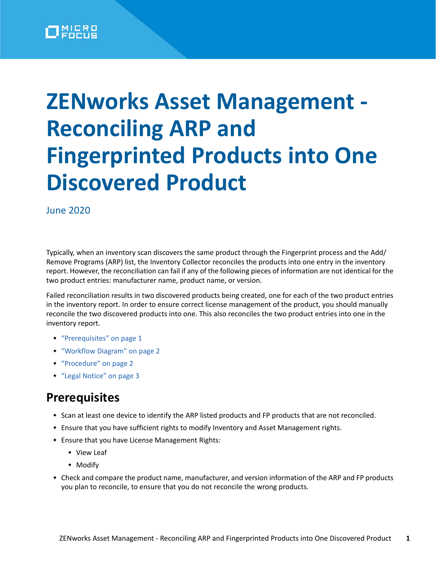# **ZENworks Asset Management - Reconciling ARP and Fingerprinted Products into One Discovered Product**

June 2020

Typically, when an inventory scan discovers the same product through the Fingerprint process and the Add/ Remove Programs (ARP) list, the Inventory Collector reconciles the products into one entry in the inventory report. However, the reconciliation can fail if any of the following pieces of information are not identical for the two product entries: manufacturer name, product name, or version.

Failed reconciliation results in two discovered products being created, one for each of the two product entries in the inventory report. In order to ensure correct license management of the product, you should manually reconcile the two discovered products into one. This also reconciles the two product entries into one in the inventory report.

- ["Prerequisites" on page 1](#page-0-0)
- ["Workflow Diagram" on page 2](#page-1-0)
- ["Procedure" on page 2](#page-1-1)
- ["Legal Notice" on page 3](#page-2-0)

### <span id="page-0-0"></span>**Prerequisites**

- \* Scan at least one device to identify the ARP listed products and FP products that are not reconciled.
- Ensure that you have sufficient rights to modify Inventory and Asset Management rights.
- Ensure that you have License Management Rights:
	- View Leaf
	- Modify
- Check and compare the product name, manufacturer, and version information of the ARP and FP products you plan to reconcile, to ensure that you do not reconcile the wrong products.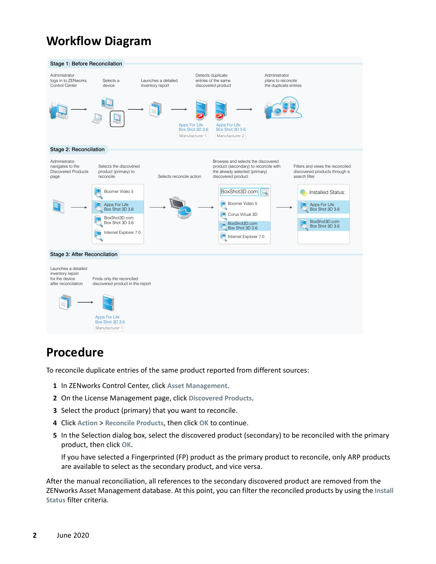## <span id="page-1-0"></span>**Workflow Diagram**



#### <span id="page-1-1"></span>**Procedure**

To reconcile duplicate entries of the same product reported from different sources:

- **1** In ZENworks Control Center, click **Asset Management.**
- **2** On the License Management page, click **Discovered Products**.
- **3** Select the product (primary) that you want to reconcile.
- **4** Click **Action** > **Reconcile Products**, then click **OK** to continue.
- **5** In the Selection dialog box, select the discovered product (secondary) to be reconciled with the primary product, then click **OK**.

If you have selected a Fingerprinted (FP) product as the primary product to reconcile, only ARP products are available to select as the secondary product, and vice versa.

After the manual reconciliation, all references to the secondary discovered product are removed from the ZENworks Asset Management database. At this point, you can filter the reconciled products by using the **Install Status** filter criteria.